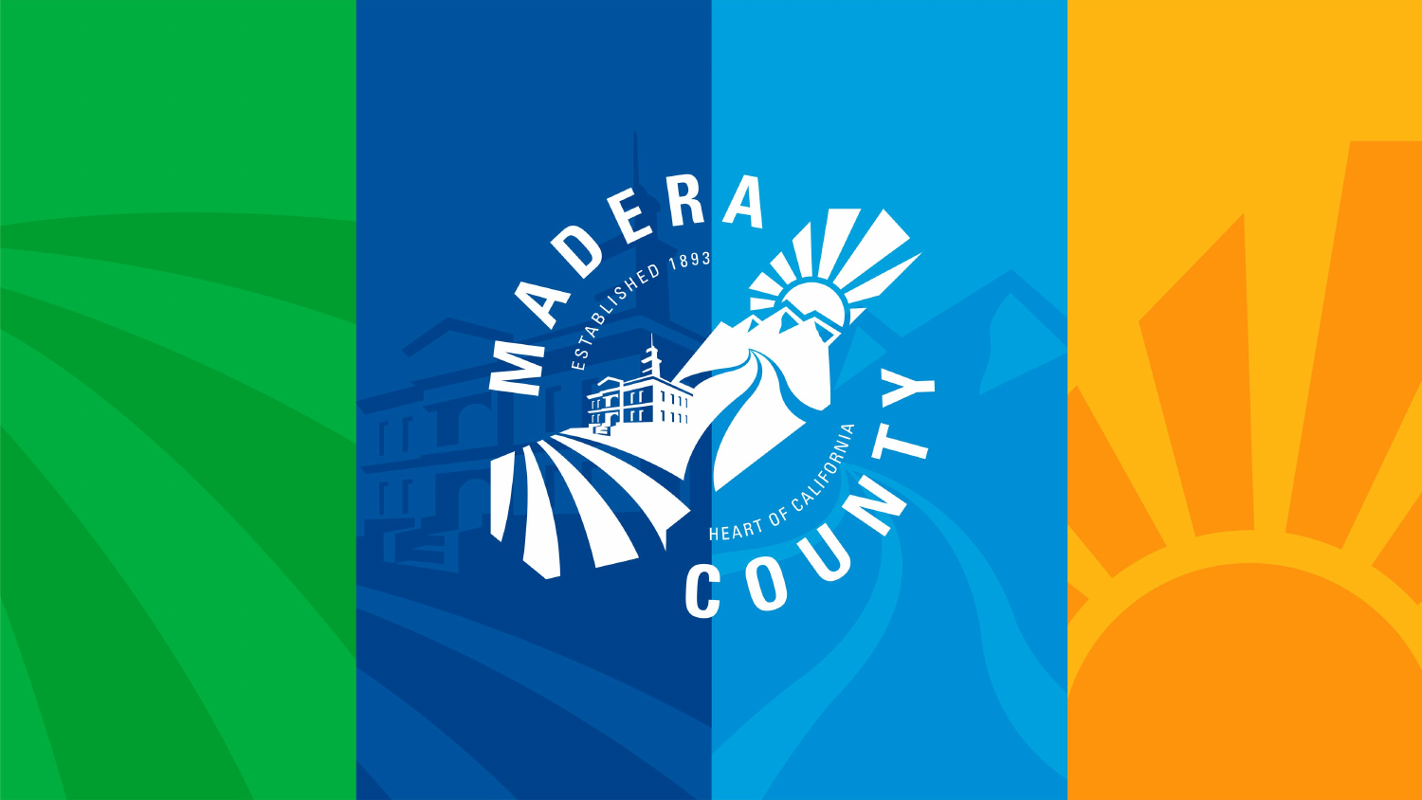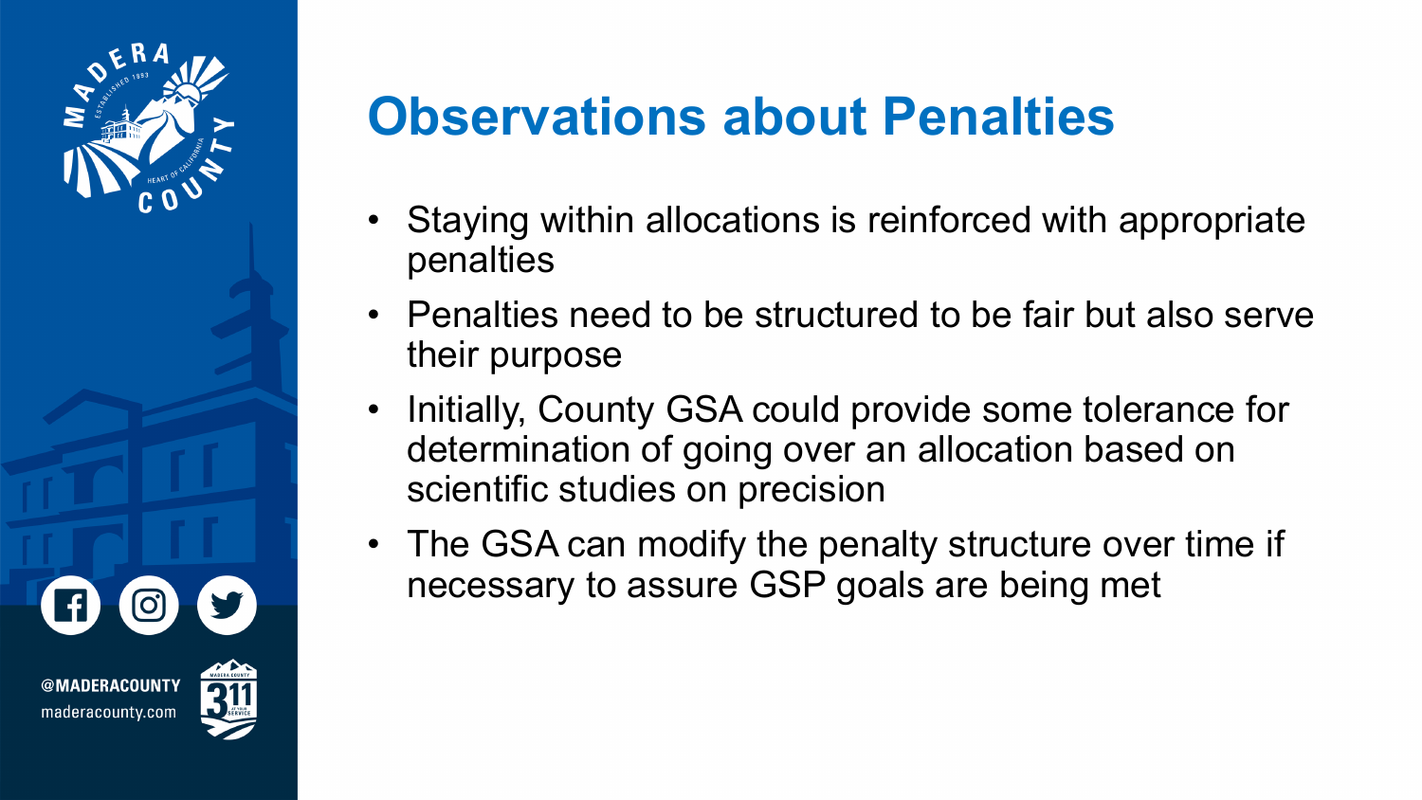

## **Observations about Penalties**

- Staying within allocations is reinforced with appropriate penalties
- Penalties need to be structured to be fair but also serve their purpose
- Initially, County GSA could provide some tolerance for determination of going over an allocation based on scientific studies on precision
- The GSA can modify the penalty structure over time if necessary to assure GSP goals are being met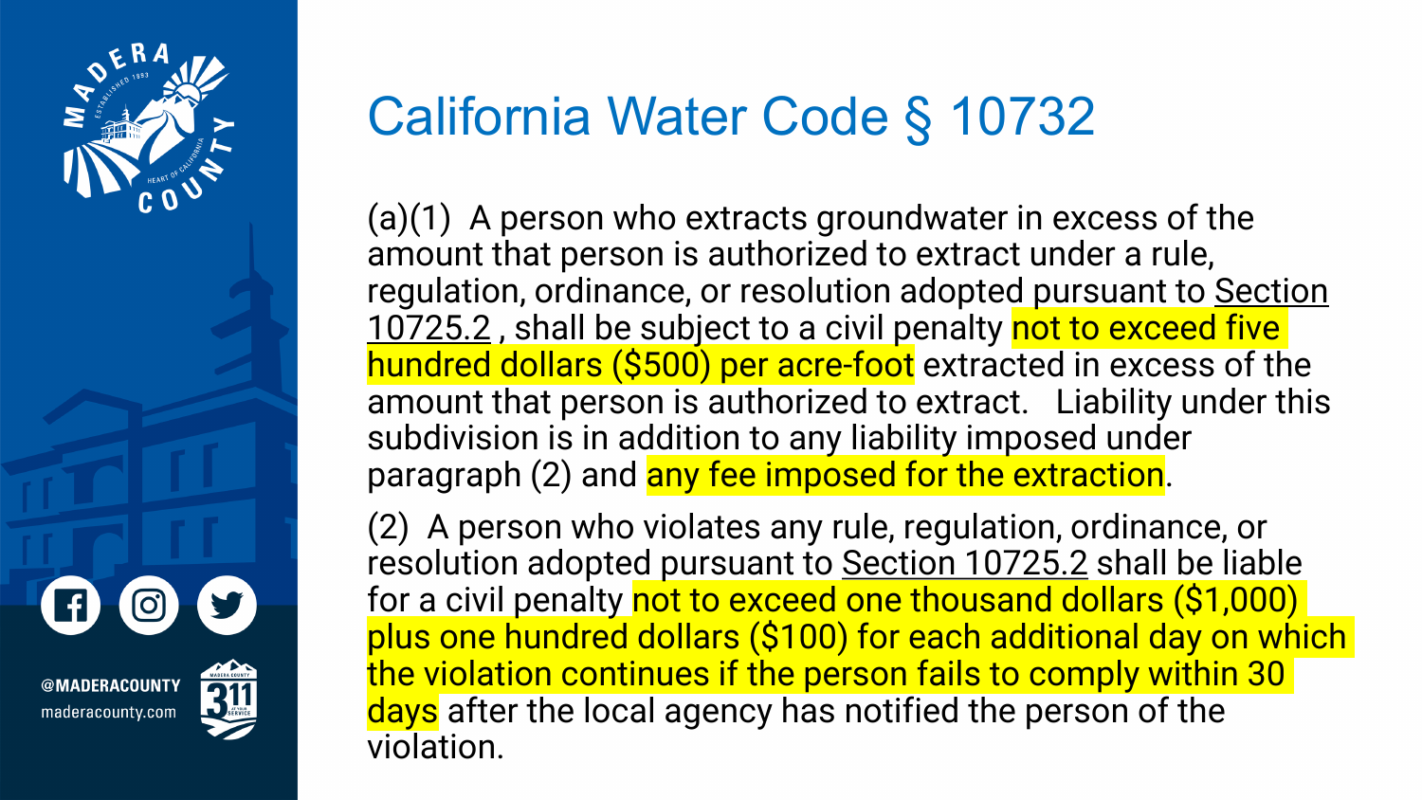

**\DERACOUNT\** maderacounty.com

## California Water Code § 10732

(a)(1) A person who extracts groundwater in excess of the amount that person is authorized to extract under a rule, [regulation, ordinance, or resolution adopted pursuant to Section](https://1.next.westlaw.com/Link/Document/FullText?findType=L&originatingContext=document&transitionType=DocumentItem&pubNum=1000226&refType=LQ&originatingDoc=I9115c3301a4c11e98620d2ce1a9c5d2a&cite=CAWAS10725.2) 10725.2, shall be subject to a civil penalty not to exceed five hundred dollars (\$500) per acre-foot extracted in excess of the amount that person is authorized to extract. Liability under this subdivision is in addition to any liability imposed under paragraph (2) and any fee imposed for the extraction.

(2) A person who violates any rule, regulation, ordinance, or resolution adopted pursuant to [Section 10725.2](https://1.next.westlaw.com/Link/Document/FullText?findType=L&originatingContext=document&transitionType=DocumentItem&pubNum=1000226&refType=LQ&originatingDoc=I9115c3311a4c11e98620d2ce1a9c5d2a&cite=CAWAS10725.2) shall be liable for a civil penalty not to exceed one thousand dollars (\$1,000) plus one hundred dollars (\$100) for each additional day on which the violation continues if the person fails to comply within 30 days after the local agency has notified the person of the violation.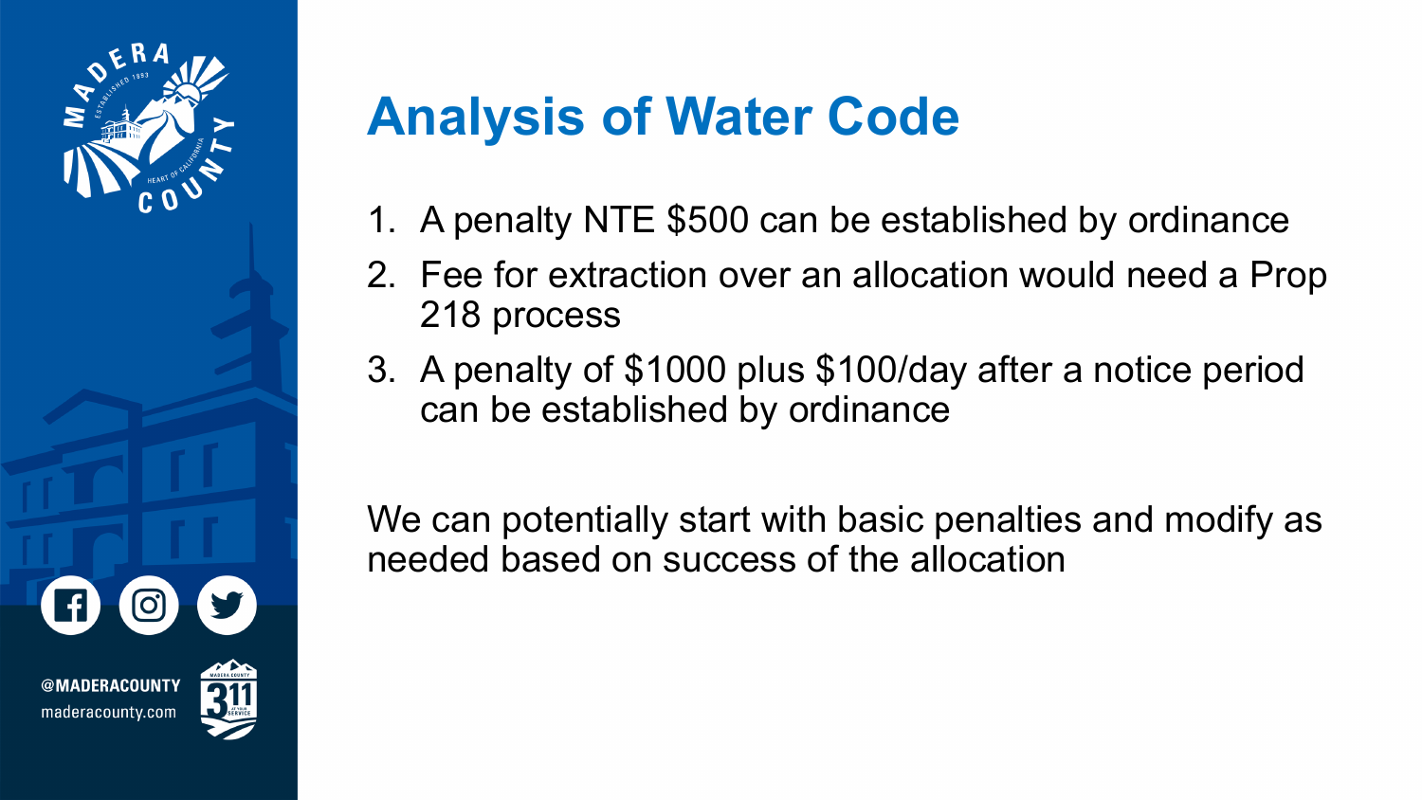

## **Analysis of Water Code**

- 1. A penalty NTE \$500 can be established by ordinance
- 2. Fee for extraction over an allocation would need a Prop 218 process
- 3. A penalty of \$1000 plus \$100/day after a notice period can be established by ordinance

We can potentially start with basic penalties and modify as needed based on success of the allocation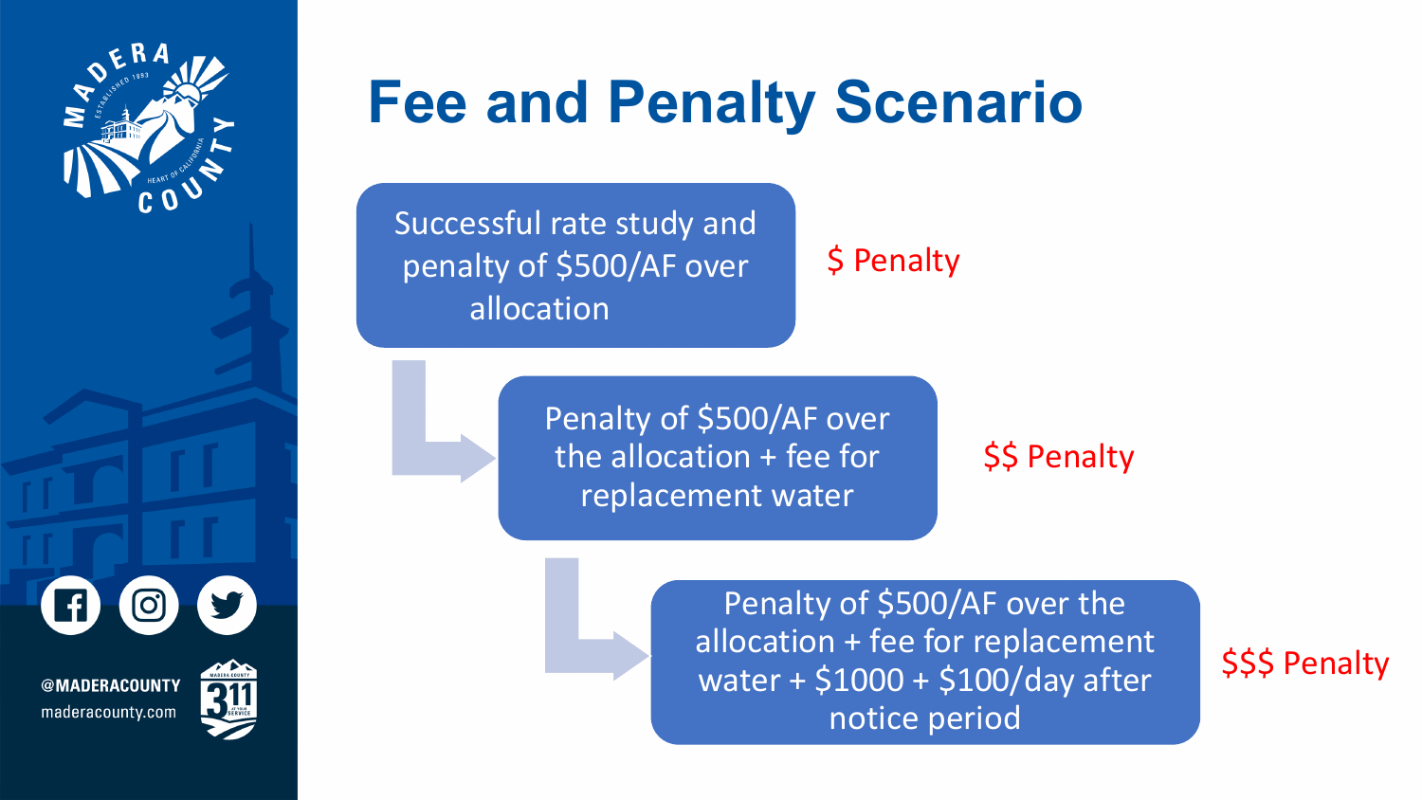

@MADERACOUNTY maderacounty.com

# **Fee and Penalty Scenario**

Successful rate study and penalty of \$500/AF over allocation

#### \$ Penalty

Penalty of \$500/AF over the allocation + fee for replacement water

#### \$\$ Penalty

Penalty of \$500/AF over the allocation + fee for replacement water + \$1000 + \$100/day after notice period

\$\$\$ Penalty